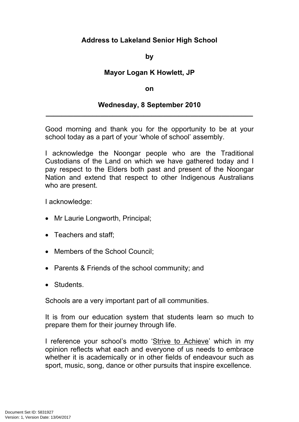## **Address to Lakeland Senior High School**

**by**

## **Mayor Logan K Howlett, JP**

## **on**

## **Wednesday, 8 September 2010 \_\_\_\_\_\_\_\_\_\_\_\_\_\_\_\_\_\_\_\_\_\_\_\_\_\_\_\_\_\_\_\_\_\_\_\_\_\_\_\_\_\_\_\_\_\_\_\_\_\_\_\_\_**

Good morning and thank you for the opportunity to be at your school today as a part of your 'whole of school' assembly.

I acknowledge the Noongar people who are the Traditional Custodians of the Land on which we have gathered today and I pay respect to the Elders both past and present of the Noongar Nation and extend that respect to other Indigenous Australians who are present.

I acknowledge:

- Mr Laurie Longworth, Principal;
- Teachers and staff:
- Members of the School Council:
- Parents & Friends of the school community; and
- Students.

Schools are a very important part of all communities.

It is from our education system that students learn so much to prepare them for their journey through life.

I reference your school's motto 'Strive to Achieve' which in my opinion reflects what each and everyone of us needs to embrace whether it is academically or in other fields of endeavour such as sport, music, song, dance or other pursuits that inspire excellence.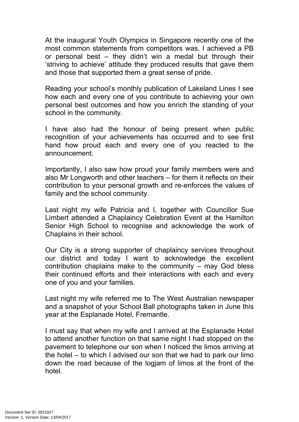At the inaugural Youth Olympics in Singapore recently one of the most common statements from competitors was, I achieved a PB or personal best – they didn't win a medal but through their 'striving to achieve' attitude they produced results that gave them and those that supported them a great sense of pride.

Reading your school's monthly publication of Lakeland Lines I see how each and every one of you contribute to achieving your own personal best outcomes and how you enrich the standing of your school in the community.

I have also had the honour of being present when public recognition of your achievements has occurred and to see first hand how proud each and every one of you reacted to the announcement.

Importantly, I also saw how proud your family members were and also Mr Longworth and other teachers – for them it reflects on their contribution to your personal growth and re-enforces the values of family and the school community.

Last night my wife Patricia and I, together with Councillor Sue Limbert attended a Chaplaincy Celebration Event at the Hamilton Senior High School to recognise and acknowledge the work of Chaplains in their school.

Our City is a strong supporter of chaplaincy services throughout our district and today I want to acknowledge the excellent contribution chaplains make to the community – may God bless their continued efforts and their interactions with each and every one of you and your families.

Last night my wife referred me to The West Australian newspaper and a snapshot of your School Ball photographs taken in June this year at the Esplanade Hotel, Fremantle.

I must say that when my wife and I arrived at the Esplanade Hotel to attend another function on that same night I had stopped on the pavement to telephone our son when I noticed the limos arriving at the hotel – to which I advised our son that we had to park our limo down the road because of the logjam of limos at the front of the hotel.